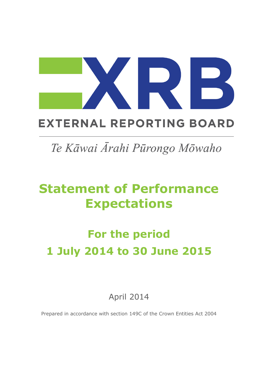## **EXTERNAL REPORTING BOARD**

## Te Kāwai Ārahi Pūrongo Mōwaho

## **Statement of Performance Expectations**

# **For the period 1 July 2014 to 30 June 2015**

April 2014

Prepared in accordance with section 149C of the Crown Entities Act 2004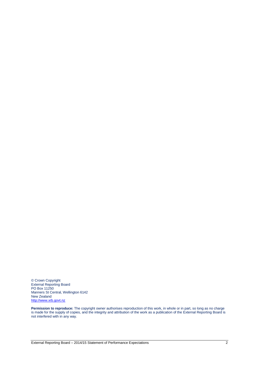© Crown Copyright External Reporting Board PO Box 11250 Manners St Central, Wellington 6142 New Zealand [http://www.xrb.govt.nz](http://www.xrb.govt.nz/)

**Permission to reproduce:** The copyright owner authorises reproduction of this work, in whole or in part, so long as no charge is made for the supply of copies, and the integrity and attribution of the work as a publication of the External Reporting Board is not interfered with in any way.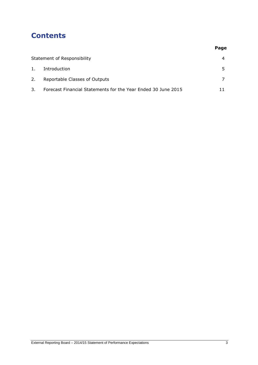## **Contents**

|    | Statement of Responsibility                                   | $\overline{4}$ |
|----|---------------------------------------------------------------|----------------|
| 1. | Introduction                                                  | 5.             |
| 2. | Reportable Classes of Outputs                                 |                |
| 3. | Forecast Financial Statements for the Year Ended 30 June 2015 | 11             |

**Page**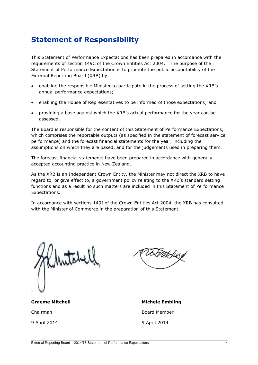## **Statement of Responsibility**

This Statement of Performance Expectations has been prepared in accordance with the requirements of section 149C of the Crown Entities Act 2004. The purpose of the Statement of Performance Expectation is to promote the public accountability of the External Reporting Board (XRB) by:

- enabling the responsible Minister to participate in the process of setting the XRB's annual performance expectations;
- enabling the House of Representatives to be informed of those expectations; and
- providing a base against which the XRB's actual performance for the year can be assessed.

The Board is responsible for the content of this Statement of Performance Expectations, which comprises the reportable outputs (as specified in the statement of forecast service performance) and the forecast financial statements for the year, including the assumptions on which they are based, and for the judgements used in preparing them.

The forecast financial statements have been prepared in accordance with generally accepted accounting practice in New Zealand.

As the XRB is an Independent Crown Entity, the Minister may not direct the XRB to have regard to, or give effect to, a government policy relating to the XRB's standard setting functions and as a result no such matters are included in this Statement of Performance Expectations.

In accordance with sections 149I of the Crown Entities Act 2004, the XRB has consulted with the Minister of Commerce in the preparation of this Statement.

**Graeme Mitchell Michele Embling** 

9 April 2014 9 April 2014

Chairman **Board Member**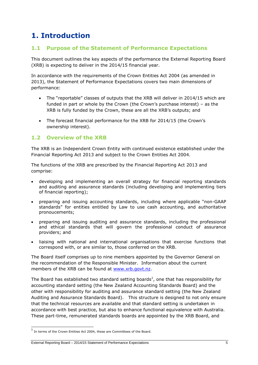## **1. Introduction**

#### **1.1 Purpose of the Statement of Performance Expectations**

This document outlines the key aspects of the performance the External Reporting Board (XRB) is expecting to deliver in the 2014/15 financial year.

In accordance with the requirements of the Crown Entities Act 2004 (as amended in 2013), the Statement of Performance Expectations covers two main dimensions of performance:

- The "reportable" classes of outputs that the XRB will deliver in 2014/15 which are funded in part or whole by the Crown (the Crown's purchase interest) – as the XRB is fully funded by the Crown, these are all the XRB's outputs; and
- The forecast financial performance for the XRB for 2014/15 (the Crown's ownership interest).

#### **1.2 Overview of the XRB**

The XRB is an Independent Crown Entity with continued existence established under the Financial Reporting Act 2013 and subject to the Crown Entities Act 2004.

The functions of the XRB are prescribed by the Financial Reporting Act 2013 and comprise:

- developing and implementing an overall strategy for financial reporting standards and auditing and assurance standards (including developing and implementing tiers of financial reporting);
- preparing and issuing accounting standards, including where applicable "non-GAAP standards" for entities entitled by Law to use cash accounting, and authoritative pronoucements;
- preparing and issuing auditing and assurance standards, including the professional and ethical standards that will govern the professional conduct of assurance providers; and
- liaising with national and international organisations that exercise functions that correspond with, or are similar to, those conferred on the XRB.

The Board itself comprises up to nine members appointed by the Governor General on the recommendation of the Responsible Minister. Information about the current members of the XRB can be found at [www.xrb.govt.nz.](http://www.xrb.govt.nz/)

The Board has established two standard setting boards<sup>1</sup>, one that has responsibility for accounting standard setting (the New Zealand Accounting Standards Board) and the other with responsibility for auditing and assurance standard setting (the New Zealand Auditing and Assurance Standards Board). This structure is designed to not only ensure that the technical resources are available and that standard setting is undertaken in accordance with best practice, but also to enhance functional equivalence with Australia. These part-time, remunerated standards boards are appointed by the XRB Board, and

1

#### External Reporting Board – 2014/15 Statement of Performance Expectations 5

<sup>&</sup>lt;sup>1</sup> In terms of the Crown Entities Act 2004, these are Committees of the Board.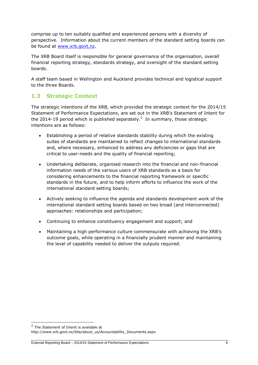comprise up to ten suitably qualified and experienced persons with a diversity of perspective. Information about the current members of the standard setting boards can be found at [www.xrb.govt.nz.](http://www.xrb.govt.nz/)

The XRB Board itself is responsible for general governance of the organisation, overall financial reporting strategy, standards strategy, and oversight of the standard setting boards.

A staff team based in Wellington and Auckland provides technical and logistical support to the three Boards.

#### **1.3 Strategic Context**

The strategic intentions of the XRB, which provided the strategic context for the 2014/15 Statement of Performance Expectations, are set out in the XRB's Statement of Intent for the 2014-19 period which is published separately.<sup>2</sup> In summary, those strategic intentions are as follows:

- Establishing a period of relative standards stability during which the existing suites of standards are maintained to reflect changes to international standards and, where necessary, enhanced to address any deficiencies or gaps that are critical to user-needs and the quality of financial reporting;
- Undertaking deliberate, organised research into the financial and non-financial information needs of the various users of XRB standards as a basis for considering enhancements to the financial reporting framework or specific standards in the future, and to help inform efforts to influence the work of the international standard setting boards;
- Actively seeking to influence the agenda and standards development work of the international standard setting boards based on two broad (and interconnected) approaches: relationships and participation;
- Continuing to enhance constituency engagement and support; and
- Maintaining a high performance culture commensurate with achieving the XRB's outcome goals, while operating in a financially prudent manner and maintaining the level of capability needed to deliver the outputs required.

-

<sup>&</sup>lt;sup>2</sup> The Statement of Intent is available at

http://www.xrb.govt.nz/Site/about\_us/Accountability\_Documents.aspx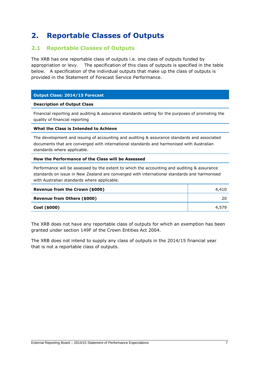### **2. Reportable Classes of Outputs**

#### **2.1 Reportable Classes of Outputs**

The XRB has one reportable class of outputs i.e. one class of outputs funded by appropriation or levy. The specification of this class of outputs is specified in the table below. A specification of the individual outputs that make up the class of outputs is provided in the Statement of Forecast Service Performance.

#### **Output Class: 2014/15 Forecast**

#### **Description of Output Class**

Financial reporting and auditing & assurance standards setting for the purposes of promoting the quality of financial reporting

#### **What the Class is Intended to Achieve**

The development and issuing of accounting and auditing & assurance standards and associated documents that are converged with international standards and harmonised with Australian standards where applicable.

#### **How the Performance of the Class will be Assessed**

Performance will be assessed by the extent to which the accounting and auditing & assurance standards on issue in New Zealand are converged with international standards and harmonised with Australian standards where applicable.

| Revenue from the Crown (\$000) | 4,410 |
|--------------------------------|-------|
| Revenue from Others (\$000)    | 20    |
| Cost (\$000)                   | 4,579 |

The XRB does not have any reportable class of outputs for which an exemption has been granted under section 149F of the Crown Entities Act 2004.

The XRB does not intend to supply any class of outputs in the 2014/15 financial year that is not a reportable class of outputs.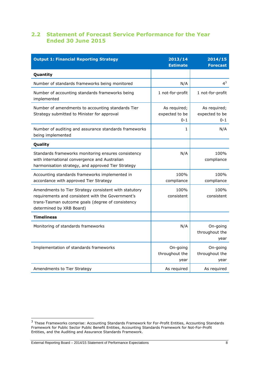#### **2.2 Statement of Forecast Service Performance for the Year Ended 30 June 2015**

| <b>Output 1: Financial Reporting Strategy</b>                                                                                                                                               | 2013/14<br><b>Estimate</b>                | 2014/15<br><b>Forecast</b>                |
|---------------------------------------------------------------------------------------------------------------------------------------------------------------------------------------------|-------------------------------------------|-------------------------------------------|
| Quantity                                                                                                                                                                                    |                                           |                                           |
| Number of standards frameworks being monitored                                                                                                                                              | N/A                                       | $4^3$                                     |
| Number of accounting standards frameworks being<br>implemented                                                                                                                              | 1 not-for-profit                          | 1 not-for-profit                          |
| Number of amendments to accounting standards Tier<br>Strategy submitted to Minister for approval                                                                                            | As required;<br>expected to be<br>$0 - 1$ | As required;<br>expected to be<br>$0 - 1$ |
| Number of auditing and assurance standards frameworks<br>being implemented                                                                                                                  | 1                                         | N/A                                       |
| Quality                                                                                                                                                                                     |                                           |                                           |
| Standards frameworks monitoring ensures consistency<br>with international convergence and Australian<br>harmonisation strategy, and approved Tier Strategy                                  | N/A                                       | 100%<br>compliance                        |
| Accounting standards frameworks implemented in<br>accordance with approved Tier Strategy                                                                                                    | 100%<br>compliance                        | 100%<br>compliance                        |
| Amendments to Tier Strategy consistent with statutory<br>requirements and consistent with the Government's<br>trans-Tasman outcome goals (degree of consistency<br>determined by XRB Board) | 100%<br>consistent                        | 100%<br>consistent                        |
| <b>Timeliness</b>                                                                                                                                                                           |                                           |                                           |
| Monitoring of standards frameworks                                                                                                                                                          | N/A                                       | On-going<br>throughout the<br>year        |
| Implementation of standards frameworks                                                                                                                                                      | On-going<br>throughout the<br>year        | On-going<br>throughout the<br>year        |
| Amendments to Tier Strategy                                                                                                                                                                 | As required                               | As required                               |

 3 These Frameworks comprise: Accounting Standards Framework for For-Profit Entities, Accounting Standards Framework for Public Sector Public Benefit Entities, Accounting Standards Framework for Not-For-Profit Entities, and the Auditing and Assurance Standards Framework.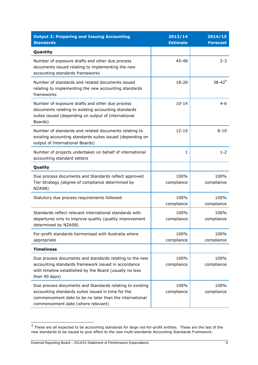| <b>Output 2: Preparing and Issuing Accounting</b><br><b>Standards</b>                                                                                                                                           | 2013/14<br><b>Estimate</b> | 2014/15<br><b>Forecast</b> |
|-----------------------------------------------------------------------------------------------------------------------------------------------------------------------------------------------------------------|----------------------------|----------------------------|
| Quantity                                                                                                                                                                                                        |                            |                            |
| Number of exposure drafts and other due process<br>documents issued relating to implementing the new<br>accounting standards frameworks                                                                         | 45-48                      | $2 - 3$                    |
| Number of standards and related documents issued<br>relating to implementing the new accounting standards<br>frameworks                                                                                         | 18-20                      | $38 - 42^{4}$              |
| Number of exposure drafts and other due process<br>documents relating to existing accounting standards<br>suites issued (depending on output of International<br>Boards)                                        | $10 - 14$                  | $4 - 6$                    |
| Number of standards and related documents relating to<br>existing accounting standards suites issued (depending on<br>output of International Boards)                                                           | $12 - 15$                  | $8 - 10$                   |
| Number of projects undertaken on behalf of international<br>accounting standard setters                                                                                                                         | 1                          | $1 - 2$                    |
| Quality                                                                                                                                                                                                         |                            |                            |
| Due process documents and Standards reflect approved<br>Tier Strategy (degree of compliance determined by<br>NZASB)                                                                                             | 100%<br>compliance         | 100%<br>compliance         |
| Statutory due process requirements followed                                                                                                                                                                     | 100%<br>compliance         | 100%<br>compliance         |
| Standards reflect relevant international standards with<br>departures only to improve quality (quality improvement<br>determined by NZASB)                                                                      | 100%<br>compliance         | 100%<br>compliance         |
| For-profit standards harmonised with Australia where<br>appropriate                                                                                                                                             | 100%<br>compliance         | 100%<br>compliance         |
| <b>Timeliness</b>                                                                                                                                                                                               |                            |                            |
| Due process documents and standards relating to the new<br>accounting standards framework issued in accordance<br>with timeline established by the Board (usually no less<br>than 90 days)                      | 100%<br>compliance         | 100%<br>compliance         |
| Due process documents and Standards relating to existing<br>accounting standards suites issued in time for the<br>commencement date to be no later than the international<br>commencement date (where relevant) | 100%<br>compliance         | 100%<br>compliance         |

 4 These are all expected to be accounting standards for large not-for-profit entities. These are the last of the new standards to be issued to give effect to the new multi-standards Accounting Standards Framework.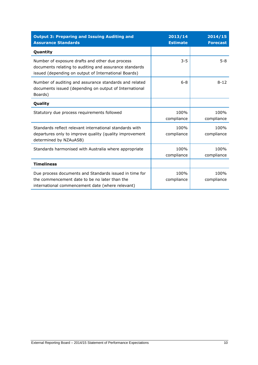| <b>Output 3: Preparing and Issuing Auditing and</b><br><b>Assurance Standards</b>                                                                                 | 2013/14<br><b>Estimate</b> | 2014/15<br><b>Forecast</b> |
|-------------------------------------------------------------------------------------------------------------------------------------------------------------------|----------------------------|----------------------------|
| Quantity                                                                                                                                                          |                            |                            |
| Number of exposure drafts and other due process<br>documents relating to auditing and assurance standards<br>issued (depending on output of International Boards) | $3 - 5$                    | $5 - 8$                    |
| Number of auditing and assurance standards and related<br>documents issued (depending on output of International<br>Boards)                                       | $6 - 8$                    | $8 - 12$                   |
| Quality                                                                                                                                                           |                            |                            |
| Statutory due process requirements followed                                                                                                                       | 100%<br>compliance         | 100%<br>compliance         |
| Standards reflect relevant international standards with<br>departures only to improve quality (quality improvement<br>determined by NZAuASB)                      | 100%<br>compliance         | 100%<br>compliance         |
| Standards harmonised with Australia where appropriate                                                                                                             | 100%<br>compliance         | 100%<br>compliance         |
| <b>Timeliness</b>                                                                                                                                                 |                            |                            |
| Due process documents and Standards issued in time for<br>the commencement date to be no later than the<br>international commencement date (where relevant)       | 100%<br>compliance         | 100%<br>compliance         |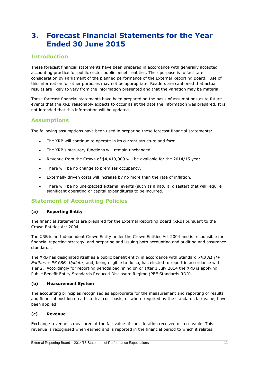## **3. Forecast Financial Statements for the Year Ended 30 June 2015**

### **Introduction**

These forecast financial statements have been prepared in accordance with generally accepted accounting practice for public sector public benefit entities. Their purpose is to facilitate consideration by Parliament of the planned performance of the External Reporting Board. Use of this information for other purposes may not be appropriate. Readers are cautioned that actual results are likely to vary from the information presented and that the variation may be material.

These forecast financial statements have been prepared on the basis of assumptions as to future events that the XRB reasonably expects to occur as at the date the information was prepared. It is not intended that this information will be updated.

#### **Assumptions**

The following assumptions have been used in preparing these forecast financial statements:

- The XRB will continue to operate in its current structure and form.
- The XRB's statutory functions will remain unchanged.
- Revenue from the Crown of \$4,410,000 will be available for the 2014/15 year.
- There will be no change to premises occupancy.
- Externally driven costs will increase by no more than the rate of inflation.
- There will be no unexpected external events (such as a natural disaster) that will require significant operating or capital expenditures to be incurred.

#### **Statement of Accounting Policies**

#### **(a) Reporting Entity**

The financial statements are prepared for the External Reporting Board (XRB) pursuant to the Crown Entities Act 2004.

The XRB is an Independent Crown Entity under the Crown Entities Act 2004 and is responsible for financial reporting strategy, and preparing and issuing both accounting and auditing and assurance standards.

The XRB has designated itself as a public benefit entity in accordance with Standard *XRB A1 (FP Entities + PS PBEs Update)* and, being eligible to do so, has elected to report in accordance with Tier 2. Accordingly for reporting periods beginning on or after 1 July 2014 the XRB is applying Public Benefit Entity Standards Reduced Disclosure Regime (PBE Standards RDR).

#### **(b) Measurement System**

The accounting principles recognised as appropriate for the measurement and reporting of results and financial position on a historical cost basis, or where required by the standards fair value, have been applied.

#### **(c) Revenue**

Exchange revenue is measured at the fair value of consideration received or receivable. This revenue is recognised when earned and is reported in the financial period to which it relates.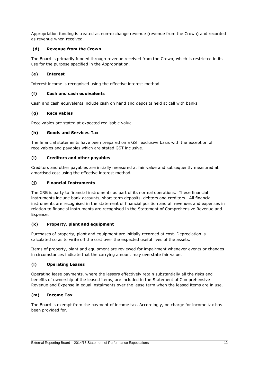Appropriation funding is treated as non-exchange revenue (revenue from the Crown) and recorded as revenue when received.

#### **(d) Revenue from the Crown**

The Board is primarily funded through revenue received from the Crown, which is restricted in its use for the purpose specified in the Appropriation.

#### **(e) Interest**

Interest income is recognised using the effective interest method.

#### **(f) Cash and cash equivalents**

Cash and cash equivalents include cash on hand and deposits held at call with banks

#### **(g) Receivables**

Receivables are stated at expected realisable value.

#### **(h) Goods and Services Tax**

The financial statements have been prepared on a GST exclusive basis with the exception of receivables and payables which are stated GST inclusive.

#### **(i) Creditors and other payables**

Creditors and other payables are initially measured at fair value and subsequently measured at amortised cost using the effective interest method.

#### **(j) Financial Instruments**

The XRB is party to financial instruments as part of its normal operations. These financial instruments include bank accounts, short term deposits, debtors and creditors. All financial instruments are recognised in the statement of financial position and all revenues and expenses in relation to financial instruments are recognised in the Statement of Comprehensive Revenue and Expense.

#### **(k) Property, plant and equipment**

Purchases of property, plant and equipment are initially recorded at cost. Depreciation is calculated so as to write off the cost over the expected useful lives of the assets.

Items of property, plant and equipment are reviewed for impairment whenever events or changes in circumstances indicate that the carrying amount may overstate fair value.

#### **(l) Operating Leases**

Operating lease payments, where the lessors effectively retain substantially all the risks and benefits of ownership of the leased items, are included in the Statement of Comprehensive Revenue and Expense in equal instalments over the lease term when the leased items are in use.

#### **(m) Income Tax**

The Board is exempt from the payment of income tax. Accordingly, no charge for income tax has been provided for.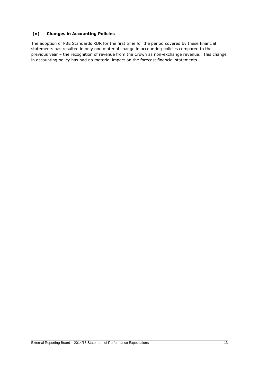#### **(n) Changes in Accounting Policies**

The adoption of PBE Standards RDR for the first time for the period covered by these financial statements has resulted in only one material change in accounting policies compared to the previous year – the recognition of revenue from the Crown as non-exchange revenue. This change in accounting policy has had no material impact on the forecast financial statements.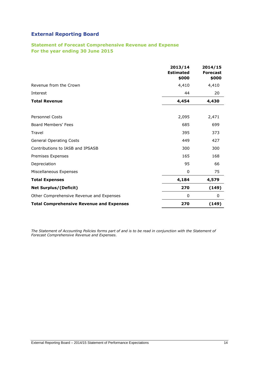#### **Statement of Forecast Comprehensive Revenue and Expense For the year ending 30 June 2015**

|                                                 | 2013/14<br><b>Estimated</b><br>\$000 | 2014/15<br><b>Forecast</b><br>\$000 |
|-------------------------------------------------|--------------------------------------|-------------------------------------|
| Revenue from the Crown                          | 4,410                                | 4,410                               |
| Interest                                        | 44                                   | 20                                  |
| <b>Total Revenue</b>                            | 4,454                                | 4,430                               |
|                                                 |                                      |                                     |
| <b>Personnel Costs</b>                          | 2,095                                | 2,471                               |
| Board Members' Fees                             | 685                                  | 699                                 |
| Travel                                          | 395                                  | 373                                 |
| <b>General Operating Costs</b>                  | 449                                  | 427                                 |
| Contributions to IASB and IPSASB                | 300                                  | 300                                 |
| Premises Expenses                               | 165                                  | 168                                 |
| Depreciation                                    | 95                                   | 66                                  |
| Miscellaneous Expenses                          | 0                                    | 75                                  |
| <b>Total Expenses</b>                           | 4,184                                | 4,579                               |
| <b>Net Surplus/(Deficit)</b>                    | 270                                  | (149)                               |
| Other Comprehensive Revenue and Expenses        | 0                                    | 0                                   |
| <b>Total Comprehensive Revenue and Expenses</b> | 270                                  | (149)                               |

*The Statement of Accounting Policies forms part of and is to be read in conjunction with the Statement of Forecast Comprehensive Revenue and Expenses.*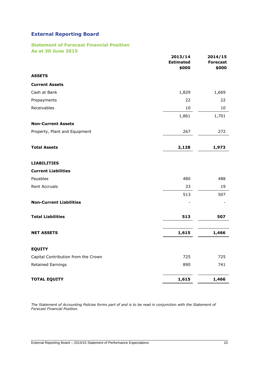#### **Statement of Forecast Financial Position As at 30 June 2015**

| <u>UL SA ANIIC WAS</u>              | 2013/14<br><b>Estimated</b><br>\$000 | 2014/15<br><b>Forecast</b><br>\$000 |
|-------------------------------------|--------------------------------------|-------------------------------------|
| <b>ASSETS</b>                       |                                      |                                     |
| <b>Current Assets</b>               |                                      |                                     |
| Cash at Bank                        | 1,829                                | 1,669                               |
| Prepayments                         | 22                                   | 22                                  |
| Receivables                         | 10                                   | 10                                  |
|                                     | 1,861                                | 1,701                               |
| <b>Non-Current Assets</b>           |                                      |                                     |
| Property, Plant and Equipment       | 267                                  | 272                                 |
| <b>Total Assets</b>                 | 2,128                                | 1,973                               |
| <b>LIABILITIES</b>                  |                                      |                                     |
| <b>Current Liabilities</b>          |                                      |                                     |
| Payables                            | 480                                  | 488                                 |
| <b>Rent Accruals</b>                | 33                                   | 19                                  |
|                                     | 513                                  | 507                                 |
| <b>Non-Current Liabilities</b>      |                                      |                                     |
| <b>Total Liabilities</b>            | 513                                  | 507                                 |
| <b>NET ASSETS</b>                   | 1,615                                | 1,466                               |
| <b>EQUITY</b>                       |                                      |                                     |
| Capital Contribution from the Crown | 725                                  | 725                                 |
| Retained Earnings                   | 890                                  | 741                                 |
| <b>TOTAL EQUITY</b>                 | 1,615                                | 1,466                               |

*The Statement of Accounting Policies forms part of and is to be read in conjunction with the Statement of Forecast Financial Position.*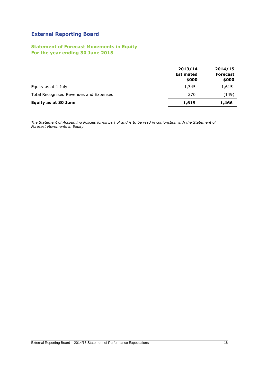#### **Statement of Forecast Movements in Equity For the year ending 30 June 2015**

|                                        | 2013/14<br><b>Estimated</b><br>\$000 | 2014/15<br><b>Forecast</b><br>\$000 |
|----------------------------------------|--------------------------------------|-------------------------------------|
| Equity as at 1 July                    | 1,345                                | 1,615                               |
| Total Recognised Revenues and Expenses | 270                                  | (149)                               |
| <b>Equity as at 30 June</b>            | 1,615                                | 1,466                               |

*The Statement of Accounting Policies forms part of and is to be read in conjunction with the Statement of Forecast Movements in Equity.*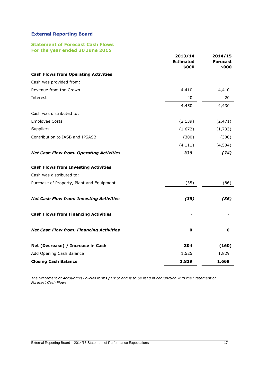#### **Statement of Forecast Cash Flows For the year ended 30 June 2015**

|                                                 | 2013/14<br><b>Estimated</b><br>\$000 | 2014/15<br><b>Forecast</b><br>\$000 |
|-------------------------------------------------|--------------------------------------|-------------------------------------|
| <b>Cash Flows from Operating Activities</b>     |                                      |                                     |
| Cash was provided from:                         |                                      |                                     |
| Revenue from the Crown                          | 4,410                                | 4,410                               |
| Interest                                        | 40                                   | 20                                  |
|                                                 | 4,450                                | 4,430                               |
| Cash was distributed to:                        |                                      |                                     |
| <b>Employee Costs</b>                           | (2, 139)                             | (2, 471)                            |
| Suppliers                                       | (1,672)                              | (1,733)                             |
| Contribution to IASB and IPSASB                 | (300)                                | (300)                               |
|                                                 | (4, 111)                             | (4,504)                             |
| <b>Net Cash Flow from: Operating Activities</b> | 339                                  | (74)                                |
| <b>Cash Flows from Investing Activities</b>     |                                      |                                     |
| Cash was distributed to:                        |                                      |                                     |
| Purchase of Property, Plant and Equipment       | (35)                                 | (86)                                |
| <b>Net Cash Flow from: Investing Activities</b> | (35)                                 | (86)                                |
| <b>Cash Flows from Financing Activities</b>     |                                      |                                     |
| <b>Net Cash Flow from: Financing Activities</b> | $\mathbf 0$                          | 0                                   |
| Net (Decrease) / Increase in Cash               | 304                                  | (160)                               |
| Add Opening Cash Balance                        | 1,525                                | 1,829                               |
| <b>Closing Cash Balance</b>                     | 1,829                                | 1,669                               |

*The Statement of Accounting Policies forms part of and is to be read in conjunction with the Statement of Forecast Cash Flows.*